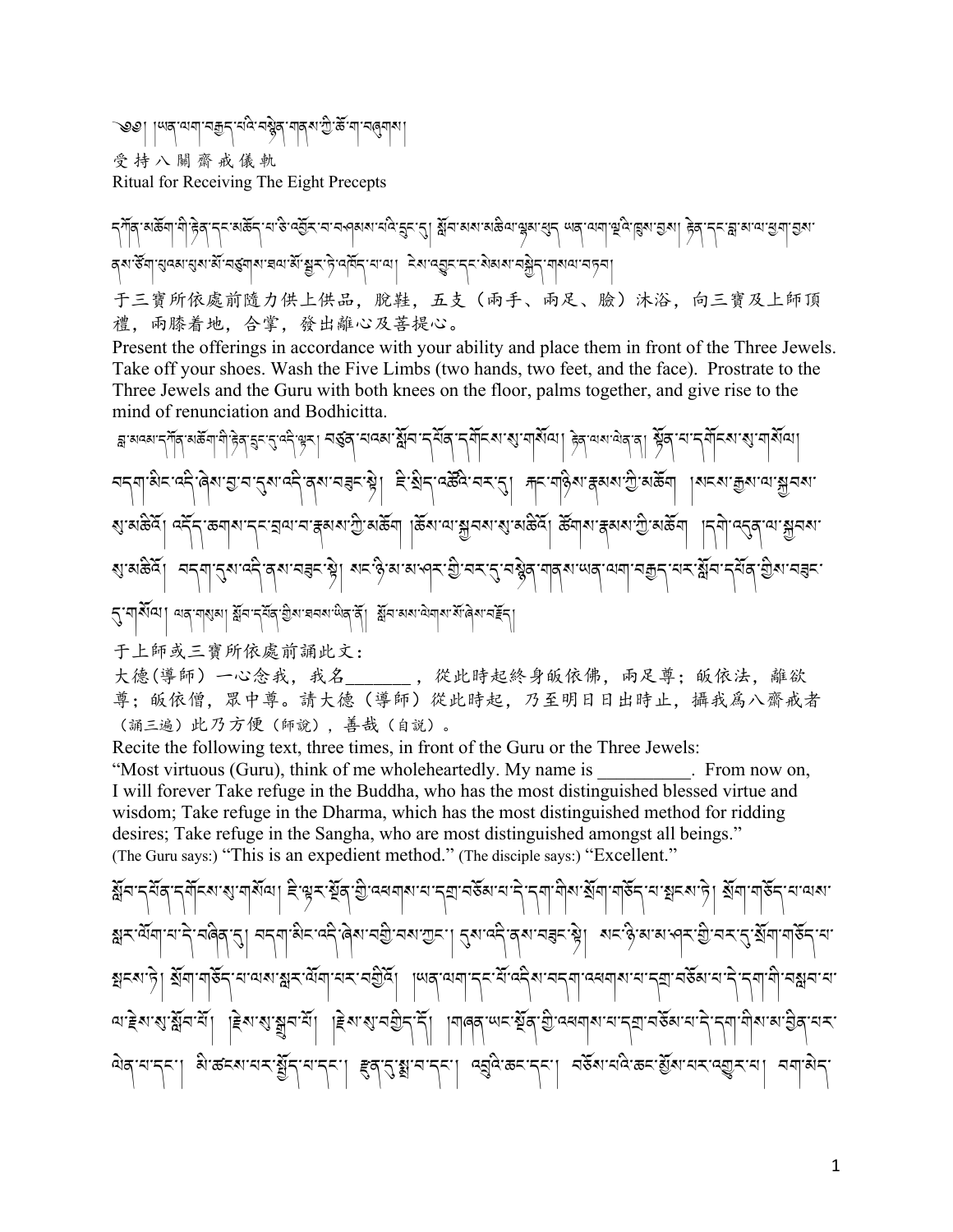ভিঙ। রিখ নানা নহী±, ন্দ্র নঙ্গীর নার্থ ফু.<u>কু.</u> না নর্থাব্য 受持八關齋戒儀軌 Ritual for Receiving The Eight Precepts

मी हेव नन्द्र्थङ्केन ना अञ्चित नामलबायानवे हेन थी। क्लैम अथायक्ष्वा खेन लवे लागो कॅन छि। मेरे ने नन्ध्न बाल बेग ব্ৰু উন্নায়ুন্ন ব্যৱস্থা মুখে মুখৰ বিৰোধী বিৰোধী দুৰ্গ বৰ্তন কৰিব প্ৰাৰম্ভ কৰিব প্ৰাৰম্ভ কৰিব প্ৰাৰম্ভ কৰিব 于三寶所依處前隨力供上供品,脫鞋,五支(兩手、兩足、臉)沐浴,向三寶及上師頂 禮, 兩膝着地, 合掌, 發出離心及菩提心。

Present the offerings in accordance with your ability and place them in front of the Three Jewels. Take off your shoes. Wash the Five Limbs (two hands, two feet, and the face). Prostrate to the Three Jewels and the Guru with both knees on the floor, palms together, and give rise to the mind of renunciation and Bodhicitta.

ৰ্শ্লম্বৰুদ্দীৰ্শৰ্জীশ শিক্ষিত্ব হূদ্দুৰ্শ বুৰুদ্দীৰ অনুসৰি বিদ্যালয়ৰ বিদ্যালয়ৰ পৰিবেশ সমূহৰ বিদ্যালয়ৰ পৰিবে<br>মা चन्ना अन्यन्तुं बिराद्य चन्द्रयावन्ते बराचन्ननाभ्रे। हेन्युन् वर्क्ष्वे चन्नान्। मनागठ्ठियाह्रयायाञ्चलायाञ्चनय ৰাজ্যন্ত বুৰ্নী বুৰ্নী কৰা সামৰ প্ৰায়ত কৰা সম্ভিত কৰা প্ৰায়ত কৰা প্ৰায়তি আৰু বিশ্বত কৰা হৈছিল। প্ৰতি বিশ্বত R་མཆིའོ། བདག་?ས་འདི་ནས་བUང་Sེ། སང་ཉི་མ་མ་ཤར་]ི་བར་?་བ/ེན་གནས་ཡན་ལག་བ\*ད་པར་@ོབ་དཔོན་]ིས་བUང་ ﴿ यार्थिया। यद गरुआ। क्षेत द्विव खेळा चनरा लेव दें। क्षेत्र अरुप्रिया संखेल नहें द

于上師或三寶所依處前誦此文:

大德(導師)一心念我,我名\_\_\_\_\_\_\_,從此時起終身皈依佛,兩足尊;皈依法,離欲 尊;皈依僧,眾中尊。請大德(導師)從此時起,乃至明日日出時止,攝我為八齋戒者 (誦三遍)此乃方便(師說),善哉(自説)。

Recite the following text, three times, in front of the Guru or the Three Jewels: "Most virtuous (Guru), think of me wholeheartedly. My name is \_\_\_\_\_\_\_\_\_\_. From now on, I will forever Take refuge in the Buddha, who has the most distinguished blessed virtue and wisdom; Take refuge in the Dharma, which has the most distinguished method for ridding desires; Take refuge in the Sangha, who are most distinguished amongst all beings." (The Guru says:) "This is an expedient method." (The disciple says:) "Excellent."

ষ্ট্ৰন:र्ट्रन्थ:र्ट्यूटश:श:बङ्ग्रिज़। हे.केर.ह्रूवे.कु.ज्वचबीश:न.र्ट्य:चढ्ना:न.ट्रं.ट्या.मुख:ब्रूबो.बोढ्र्ट-न.कड्या ब्रूबो.बोढ्र्ट-न.जब য়ৼ৻ঀৄ৻৶৾৻৸৻৸ৼ৻ৼঀৢ৶ৼঀৗ৵৶ৼ৸ড়৸ৼ৻ড়৻৸ঀড়ৗ৸ৼ৻৸ঀৗৼ৻৸৸৸ৼ৻ড়৸ৼ৸ৼ৻ড়৸ৼ৻ঀৼ৻ড়৻ড়৻৸৻৸৻৸৻৸৻৸৻৸ৼ৻ৼ৻৸ ক্সনৰাড়ী স্থানাঞ্চুখন অৰাস্ক্ষণ মুখি বিশ্বাসকলে প্ৰতি ৰাজ্য বিশ্বাসকলে বিশ্বাসকলে বিদ্যালয় বিশ্বাসকলে ব অ'ॾॆথ'শ্মুম'মাঁ| |ॾॆথ'শ্মুমুম'মাঁ| |ॾॆথ'শ্ম'মগ্ৰীন'माँ| ।মাৰৰ'ঋন'শ্মুৰ'গ্ৰী'ক্ষেত্ৰাম'ন'নমা'নউৰা'ন'ন'নমা'ত্ৰীৰ'নম' এর্'ন'ন্ন'। ৯:জনম'নেম'য়ুঁন্'ন'ন্ন'। ह्व'নु'য়ু'ন'ন্ন'। ব্রুবি'জন'ন্ন'। নর্হম'নবি'জন'য়ুঁম'নম'ন্ফ্রুম'না ননা'মন